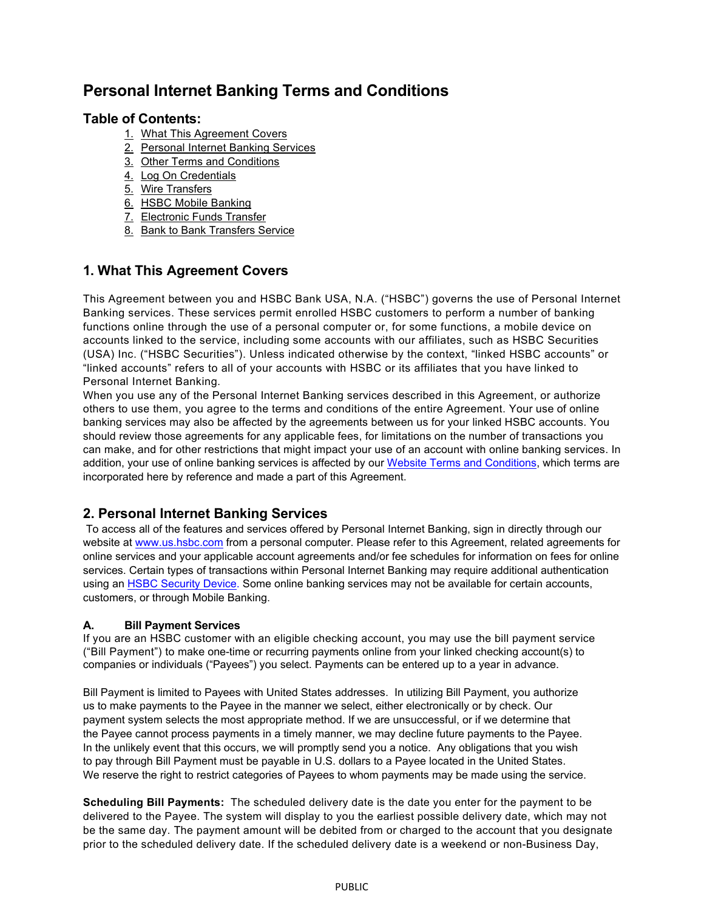# **Personal Internet Banking Terms and Conditions**

## **Table of Contents:**

- 1. What This Agreement Covers
- 2. Personal Internet Banking Services
- 3. [Other Terms and Conditions](#page-2-0)
- 4. [Log On Credentials](#page-4-0)
- [5. Wire Transfers](#page-5-0)
- 6. [HSBC Mobile Banking](#page-5-0)
- 7. [Electronic Funds Transfer](#page-5-0)
- 8. [Bank to Bank Transfers Service](#page-5-0)

## **1. What This Agreement Covers**

This Agreement between you and HSBC Bank USA, N.A. ("HSBC") governs the use of Personal Internet Banking services. These services permit enrolled HSBC customers to perform a number of banking functions online through the use of a personal computer or, for some functions, a mobile device on accounts linked to the service, including some accounts with our affiliates, such as HSBC Securities (USA) Inc. ("HSBC Securities"). Unless indicated otherwise by the context, "linked HSBC accounts" or "linked accounts" refers to all of your accounts with HSBC or its affiliates that you have linked to Personal Internet Banking.

When you use any of the Personal Internet Banking services described in this Agreement, or authorize others to use them, you agree to the terms and conditions of the entire Agreement. Your use of online banking services may also be affected by the agreements between us for your linked HSBC accounts. You should review those agreements for any applicable fees, for limitations on the number of transactions you can make, and for other restrictions that might impact your use of an account with online banking services. In addition, your use of online banking services is affected by our [Website Terms and Conditions,](https://www.us.hsbc.com/site-terms-and-conditions/) which terms are incorporated here by reference and made a part of this Agreement.

## **2. Personal Internet Banking Services**

To access all of the features and services offered by Personal Internet Banking, sign in directly through our website a[t www.us.hsbc.com](http://www.us.hsbc.com/) from a personal computer. Please refer to this Agreement, related agreements for online services and your applicable account agreements and/or fee schedules for information on fees for online services. Certain types of transactions within Personal Internet Banking may require additional authentication using an [HSBC Security Device.](https://www.us.hsbc.com/online-banking/security-device/) Some online banking services may not be available for certain accounts, customers, or through Mobile Banking.

## **A. Bill Payment Services**

If you are an HSBC customer with an eligible checking account, you may use the bill payment service ("Bill Payment") to make one-time or recurring payments online from your linked checking account(s) to companies or individuals ("Payees") you select. Payments can be entered up to a year in advance.

Bill Payment is limited to Payees with United States addresses. In utilizing Bill Payment, you authorize us to make payments to the Payee in the manner we select, either electronically or by check. Our payment system selects the most appropriate method. If we are unsuccessful, or if we determine that the Payee cannot process payments in a timely manner, we may decline future payments to the Payee. In the unlikely event that this occurs, we will promptly send you a notice. Any obligations that you wish to pay through Bill Payment must be payable in U.S. dollars to a Payee located in the United States. We reserve the right to restrict categories of Payees to whom payments may be made using the service.

**Scheduling Bill Payments:** The scheduled delivery date is the date you enter for the payment to be delivered to the Payee. The system will display to you the earliest possible delivery date, which may not be the same day. The payment amount will be debited from or charged to the account that you designate prior to the scheduled delivery date. If the scheduled delivery date is a weekend or non-Business Day,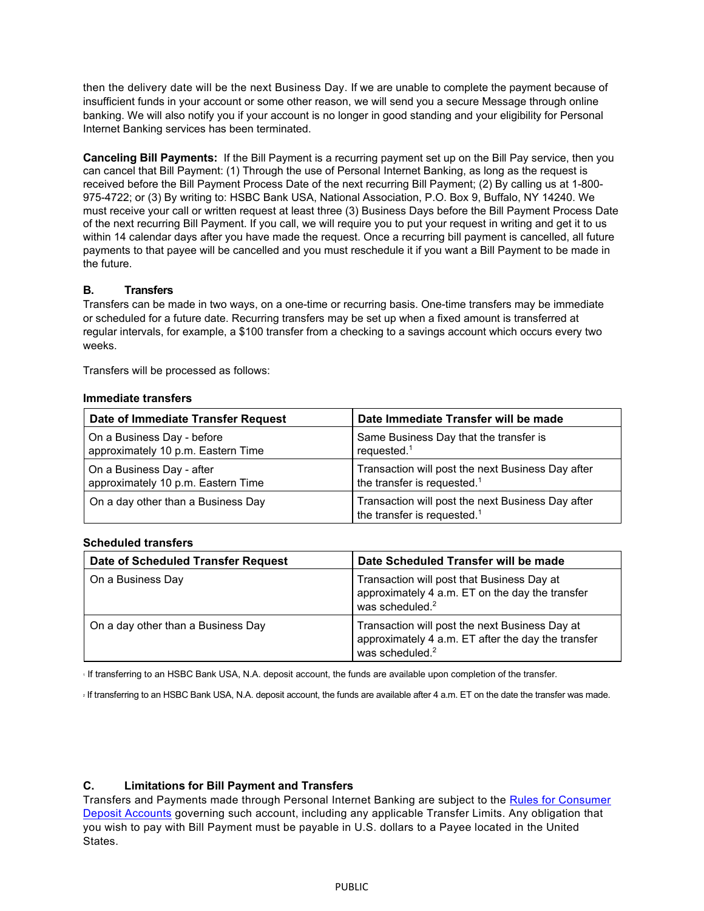then the delivery date will be the next Business Day. If we are unable to complete the payment because of insufficient funds in your account or some other reason, we will send you a secure Message through online banking. We will also notify you if your account is no longer in good standing and your eligibility for Personal Internet Banking services has been terminated.

**Canceling Bill Payments:** If the Bill Payment is a recurring payment set up on the Bill Pay service, then you can cancel that Bill Payment: (1) Through the use of Personal Internet Banking, as long as the request is received before the Bill Payment Process Date of the next recurring Bill Payment; (2) By calling us at 1-800- 975-4722; or (3) By writing to: HSBC Bank USA, National Association, P.O. Box 9, Buffalo, NY 14240. We must receive your call or written request at least three (3) Business Days before the Bill Payment Process Date of the next recurring Bill Payment. If you call, we will require you to put your request in writing and get it to us within 14 calendar days after you have made the request. Once a recurring bill payment is cancelled, all future payments to that payee will be cancelled and you must reschedule it if you want a Bill Payment to be made in the future.

#### **B. Transfers**

Transfers can be made in two ways, on a one-time or recurring basis. One-time transfers may be immediate or scheduled for a future date. Recurring transfers may be set up when a fixed amount is transferred at regular intervals, for example, a \$100 transfer from a checking to a savings account which occurs every two weeks.

Transfers will be processed as follows:

#### **Immediate transfers**

| Date of Immediate Transfer Request | Date Immediate Transfer will be made                                                         |
|------------------------------------|----------------------------------------------------------------------------------------------|
| On a Business Day - before         | Same Business Day that the transfer is                                                       |
| approximately 10 p.m. Eastern Time | requested. $1$                                                                               |
| On a Business Day - after          | Transaction will post the next Business Day after                                            |
| approximately 10 p.m. Eastern Time | the transfer is requested. <sup>1</sup>                                                      |
| On a day other than a Business Day | Transaction will post the next Business Day after<br>the transfer is requested. <sup>1</sup> |

#### **Scheduled transfers**

| Date of Scheduled Transfer Request | Date Scheduled Transfer will be made                                                                                                |
|------------------------------------|-------------------------------------------------------------------------------------------------------------------------------------|
| On a Business Day                  | Transaction will post that Business Day at<br>approximately 4 a.m. ET on the day the transfer<br>was scheduled. <sup>2</sup>        |
| On a day other than a Business Day | Transaction will post the next Business Day at<br>approximately 4 a.m. ET after the day the transfer<br>was scheduled. <sup>2</sup> |

<sup>1</sup> If transferring to an HSBC Bank USA, N.A. deposit account, the funds are available upon completion of the transfer.

<sup>2</sup> If transferring to an HSBC Bank USA, N.A. deposit account, the funds are available after 4 a.m. ET on the date the transfer was made.

#### **C. Limitations for Bill Payment and Transfers**

Transfers and Payments made through Personal Internet Banking are subject to the [Rules for Consumer](https://www.us.hsbc.com/account-opening/online-disclosures/)  [Deposit Accounts](https://www.us.hsbc.com/account-opening/online-disclosures/) governing such account, including any applicable Transfer Limits. Any obligation that you wish to pay with Bill Payment must be payable in U.S. dollars to a Payee located in the United States.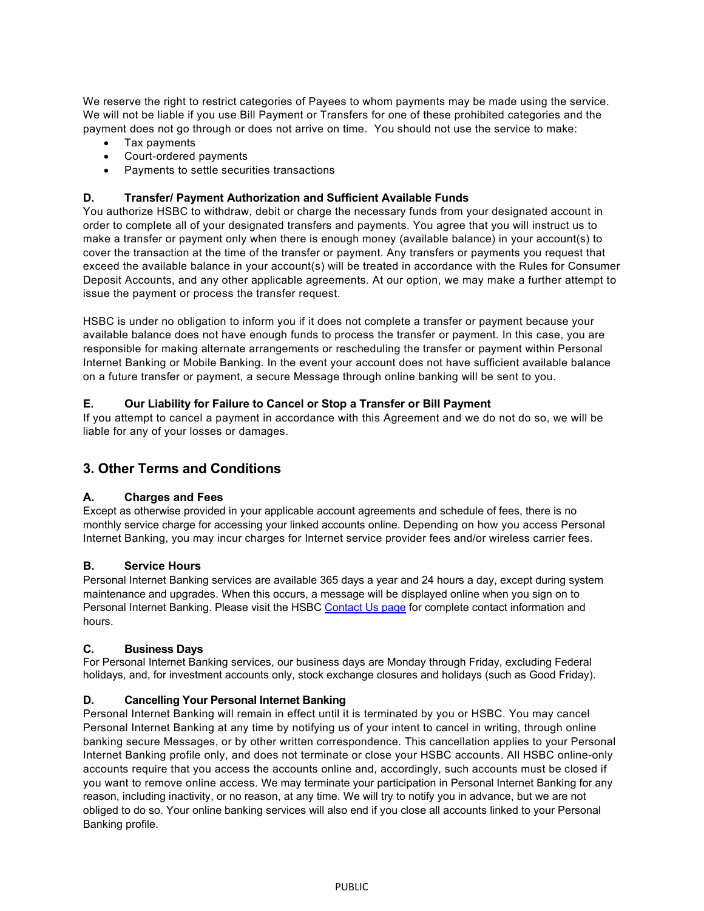<span id="page-2-0"></span>We reserve the right to restrict categories of Payees to whom payments may be made using the service. We will not be liable if you use Bill Payment or Transfers for one of these prohibited categories and the payment does not go through or does not arrive on time. You should not use the service to make:

- Tax payments
- Court-ordered payments
- Payments to settle securities transactions

## **D. Transfer/ Payment Authorization and Sufficient Available Funds**

You authorize HSBC to withdraw, debit or charge the necessary funds from your designated account in order to complete all of your designated transfers and payments. You agree that you will instruct us to make a transfer or payment only when there is enough money (available balance) in your account(s) to cover the transaction at the time of the transfer or payment. Any transfers or payments you request that exceed the available balance in your account(s) will be treated in accordance with the Rules for Consumer Deposit Accounts, and any other applicable agreements. At our option, we may make a further attempt to issue the payment or process the transfer request.

HSBC is under no obligation to inform you if it does not complete a transfer or payment because your available balance does not have enough funds to process the transfer or payment. In this case, you are responsible for making alternate arrangements or rescheduling the transfer or payment within Personal Internet Banking or Mobile Banking. In the event your account does not have sufficient available balance on a future transfer or payment, a secure Message through online banking will be sent to you.

## **E. Our Liability for Failure to Cancel or Stop a Transfer or Bill Payment**

If you attempt to cancel a payment in accordance with this Agreement and we do not do so, we will be liable for any of your losses or damages.

## **3. Other Terms and Conditions**

## **A. Charges and Fees**

Except as otherwise provided in your applicable account agreements and schedule of fees, there is no monthly service charge for accessing your linked accounts online. Depending on how you access Personal Internet Banking, you may incur charges for Internet service provider fees and/or wireless carrier fees.

## **B. Service Hours**

Personal Internet Banking services are available 365 days a year and 24 hours a day, except during system maintenance and upgrades. When this occurs, a message will be displayed online when you sign on to Personal Internet Banking. Please visit the HSBC [Contact Us page](https://www.us.hsbc.com/customer-service/contact-us/) for complete contact information and hours.

#### **C. Business Days**

For Personal Internet Banking services, our business days are Monday through Friday, excluding Federal holidays, and, for investment accounts only, stock exchange closures and holidays (such as Good Friday).

## **D. Cancelling Your Personal Internet Banking**

Personal Internet Banking will remain in effect until it is terminated by you or HSBC. You may cancel Personal Internet Banking at any time by notifying us of your intent to cancel in writing, through online banking secure Messages, or by other written correspondence. This cancellation applies to your Personal Internet Banking profile only, and does not terminate or close your HSBC accounts. All HSBC online-only accounts require that you access the accounts online and, accordingly, such accounts must be closed if you want to remove online access. We may terminate your participation in Personal Internet Banking for any reason, including inactivity, or no reason, at any time. We will try to notify you in advance, but we are not obliged to do so. Your online banking services will also end if you close all accounts linked to your Personal Banking profile.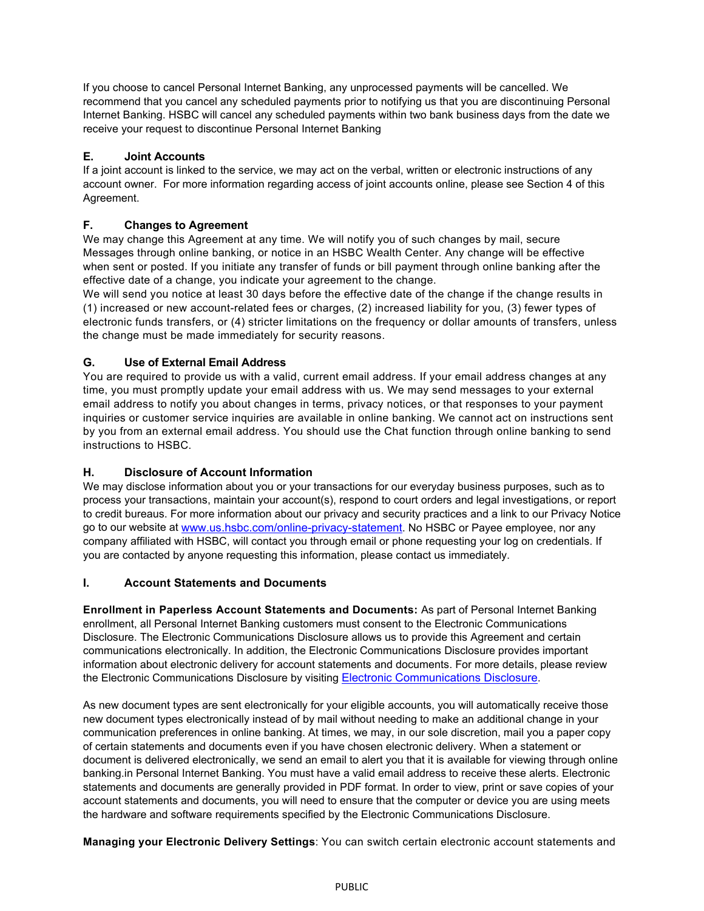If you choose to cancel Personal Internet Banking, any unprocessed payments will be cancelled. We recommend that you cancel any scheduled payments prior to notifying us that you are discontinuing Personal Internet Banking. HSBC will cancel any scheduled payments within two bank business days from the date we receive your request to discontinue Personal Internet Banking

## **E. Joint Accounts**

If a joint account is linked to the service, we may act on the verbal, written or electronic instructions of any account owner. For more information regarding access of joint accounts online, please see Section 4 of this Agreement.

## **F. Changes to Agreement**

We may change this Agreement at any time. We will notify you of such changes by mail, secure Messages through online banking, or notice in an HSBC Wealth Center. Any change will be effective when sent or posted. If you initiate any transfer of funds or bill payment through online banking after the effective date of a change, you indicate your agreement to the change.

We will send you notice at least 30 days before the effective date of the change if the change results in (1) increased or new account-related fees or charges, (2) increased liability for you, (3) fewer types of electronic funds transfers, or (4) stricter limitations on the frequency or dollar amounts of transfers, unless the change must be made immediately for security reasons.

## **G. Use of External Email Address**

You are required to provide us with a valid, current email address. If your email address changes at any time, you must promptly update your email address with us. We may send messages to your external email address to notify you about changes in terms, privacy notices, or that responses to your payment inquiries or customer service inquiries are available in online banking. We cannot act on instructions sent by you from an external email address. You should use the Chat function through online banking to send instructions to HSBC.

## **H. Disclosure of Account Information**

We may disclose information about you or your transactions for our everyday business purposes, such as to process your transactions, maintain your account(s), respond to court orders and legal investigations, or report to credit bureaus. For more information about our privacy and security practices and a link to our Privacy Notice go to our website at [www.us.hsbc.com/online-privacy-statement.](https://www.us.hsbc.com/online-privacy-statement/) No HSBC or Payee employee, nor any company affiliated with HSBC, will contact you through email or phone requesting your log on credentials. If you are contacted by anyone requesting this information, please contact us immediately.

## **I. Account Statements and Documents**

**Enrollment in Paperless Account Statements and Documents:** As part of Personal Internet Banking enrollment, all Personal Internet Banking customers must consent to the Electronic Communications Disclosure. The Electronic Communications Disclosure allows us to provide this Agreement and certain communications electronically. In addition, the Electronic Communications Disclosure provides important information about electronic delivery for account statements and documents. For more details, please review the Electronic Communications Disclosure by visiting [Electronic Communications Disclosure.](https://www.us.hsbc.com/account-opening/online-disclosures/#electronic-communication)

As new document types are sent electronically for your eligible accounts, you will automatically receive those new document types electronically instead of by mail without needing to make an additional change in your communication preferences in online banking. At times, we may, in our sole discretion, mail you a paper copy of certain statements and documents even if you have chosen electronic delivery. When a statement or document is delivered electronically, we send an email to alert you that it is available for viewing through online banking.in Personal Internet Banking. You must have a valid email address to receive these alerts. Electronic statements and documents are generally provided in PDF format. In order to view, print or save copies of your account statements and documents, you will need to ensure that the computer or device you are using meets the hardware and software requirements specified by the Electronic Communications Disclosure.

**Managing your Electronic Delivery Settings**: You can switch certain electronic account statements and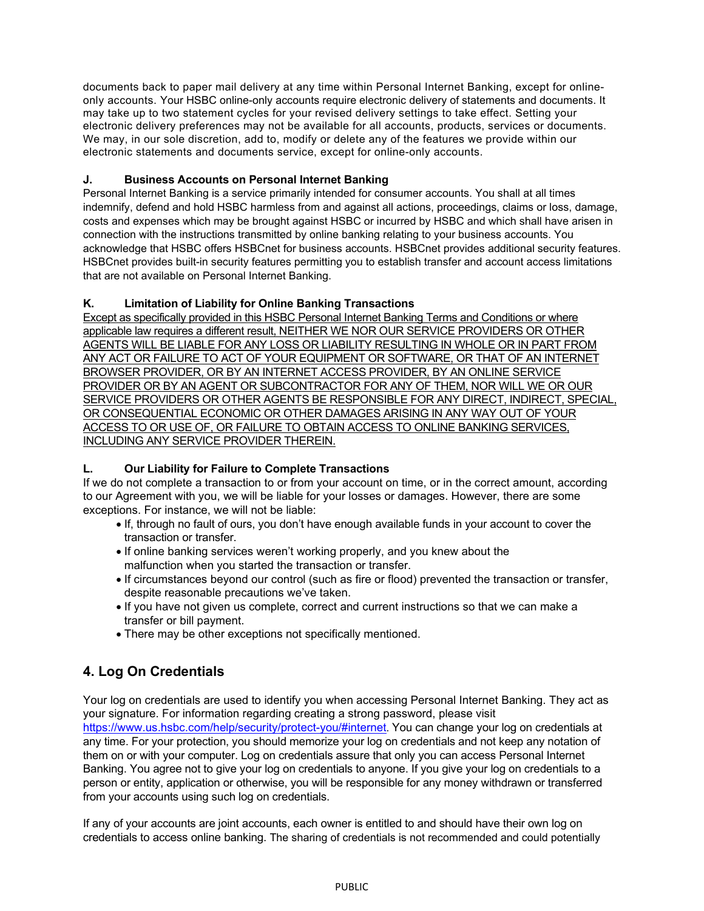<span id="page-4-0"></span>documents back to paper mail delivery at any time within Personal Internet Banking, except for onlineonly accounts. Your HSBC online-only accounts require electronic delivery of statements and documents. It may take up to two statement cycles for your revised delivery settings to take effect. Setting your electronic delivery preferences may not be available for all accounts, products, services or documents. We may, in our sole discretion, add to, modify or delete any of the features we provide within our electronic statements and documents service, except for online-only accounts.

## **J. Business Accounts on Personal Internet Banking**

Personal Internet Banking is a service primarily intended for consumer accounts. You shall at all times indemnify, defend and hold HSBC harmless from and against all actions, proceedings, claims or loss, damage, costs and expenses which may be brought against HSBC or incurred by HSBC and which shall have arisen in connection with the instructions transmitted by online banking relating to your business accounts. You acknowledge that HSBC offers HSBCnet for business accounts. HSBCnet provides additional security features. HSBCnet provides built-in security features permitting you to establish transfer and account access limitations that are not available on Personal Internet Banking.

## **K. Limitation of Liability for Online Banking Transactions**

Except as specifically provided in this HSBC Personal Internet Banking Terms and Conditions or where applicable law requires a different result, NEITHER WE NOR OUR SERVICE PROVIDERS OR OTHER AGENTS WILL BE LIABLE FOR ANY LOSS OR LIABILITY RESULTING IN WHOLE OR IN PART FROM ANY ACT OR FAILURE TO ACT OF YOUR EQUIPMENT OR SOFTWARE, OR THAT OF AN INTERNET BROWSER PROVIDER, OR BY AN INTERNET ACCESS PROVIDER, BY AN ONLINE SERVICE PROVIDER OR BY AN AGENT OR SUBCONTRACTOR FOR ANY OF THEM, NOR WILL WE OR OUR SERVICE PROVIDERS OR OTHER AGENTS BE RESPONSIBLE FOR ANY DIRECT, INDIRECT, SPECIAL, OR CONSEQUENTIAL ECONOMIC OR OTHER DAMAGES ARISING IN ANY WAY OUT OF YOUR ACCESS TO OR USE OF, OR FAILURE TO OBTAIN ACCESS TO ONLINE BANKING SERVICES, INCLUDING ANY SERVICE PROVIDER THEREIN.

## **L. Our Liability for Failure to Complete Transactions**

If we do not complete a transaction to or from your account on time, or in the correct amount, according to our Agreement with you, we will be liable for your losses or damages. However, there are some exceptions. For instance, we will not be liable:

- If, through no fault of ours, you don't have enough available funds in your account to cover the transaction or transfer.
- If online banking services weren't working properly, and you knew about the malfunction when you started the transaction or transfer.
- If circumstances beyond our control (such as fire or flood) prevented the transaction or transfer, despite reasonable precautions we've taken.
- If you have not given us complete, correct and current instructions so that we can make a transfer or bill payment.
- There may be other exceptions not specifically mentioned.

## **4. Log On Credentials**

Your log on credentials are used to identify you when accessing Personal Internet Banking. They act as your signature. For information regarding creating a strong password, please visit <https://www.us.hsbc.com/help/security/protect-you/#internet>. You can change your log on credentials at any time. For your protection, you should memorize your log on credentials and not keep any notation of them on or with your computer. Log on credentials assure that only you can access Personal Internet Banking. You agree not to give your log on credentials to anyone. If you give your log on credentials to a person or entity, application or otherwise, you will be responsible for any money withdrawn or transferred from your accounts using such log on credentials.

If any of your accounts are joint accounts, each owner is entitled to and should have their own log on credentials to access online banking. The sharing of credentials is not recommended and could potentially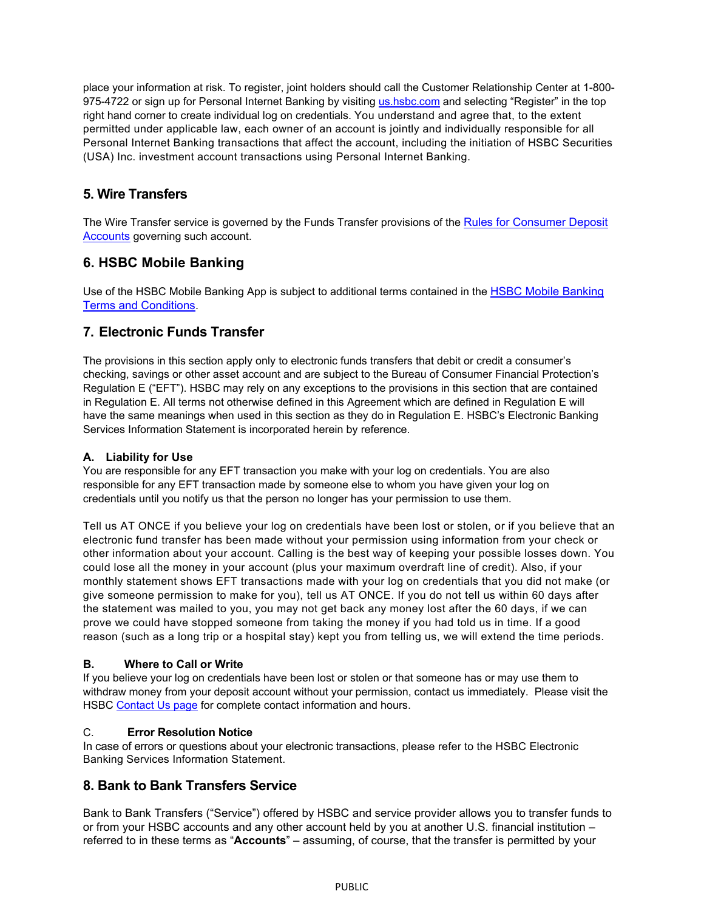<span id="page-5-0"></span>place your information at risk. To register, joint holders should call the Customer Relationship Center at 1-800 975-4722 or sign up for Personal Internet Banking by visiting [us.hsbc.com](http://us.hsbc.com/) and selecting "Register" in the top right hand corner to create individual log on credentials. You understand and agree that, to the extent permitted under applicable law, each owner of an account is jointly and individually responsible for all Personal Internet Banking transactions that affect the account, including the initiation of HSBC Securities (USA) Inc. investment account transactions using Personal Internet Banking.

## **5. Wire Transfers**

The Wire Transfer service is governed by the Funds Transfer provisions of the [Rules for Consumer Deposit](https://www.us.hsbc.com/account-opening/online-disclosures/) [Accounts](https://www.us.hsbc.com/account-opening/online-disclosures/) governing such account.

## **6. HSBC Mobile Banking**

Use of the HSBC Mobile Banking App is subject to additional terms contained in th[e HSBC Mobile Banking](https://www.us.hsbc.com/mobile-banking/)  [Terms and](https://www.us.hsbc.com/mobile-banking/) [Conditions.](https://www.us.hsbc.com/mobile-banking/)

## **7. Electronic Funds Transfer**

The provisions in this section apply only to electronic funds transfers that debit or credit a consumer's checking, savings or other asset account and are subject to the Bureau of Consumer Financial Protection's Regulation E ("EFT"). HSBC may rely on any exceptions to the provisions in this section that are contained in Regulation E. All terms not otherwise defined in this Agreement which are defined in Regulation E will have the same meanings when used in this section as they do in Regulation E. HSBC's Electronic Banking Services Information Statement is incorporated herein by reference.

## **A. Liability for Use**

You are responsible for any EFT transaction you make with your log on credentials. You are also responsible for any EFT transaction made by someone else to whom you have given your log on credentials until you notify us that the person no longer has your permission to use them.

Tell us AT ONCE if you believe your log on credentials have been lost or stolen, or if you believe that an electronic fund transfer has been made without your permission using information from your check or other information about your account. Calling is the best way of keeping your possible losses down. You could lose all the money in your account (plus your maximum overdraft line of credit). Also, if your monthly statement shows EFT transactions made with your log on credentials that you did not make (or give someone permission to make for you), tell us AT ONCE. If you do not tell us within 60 days after the statement was mailed to you, you may not get back any money lost after the 60 days, if we can prove we could have stopped someone from taking the money if you had told us in time. If a good reason (such as a long trip or a hospital stay) kept you from telling us, we will extend the time periods.

## **B. Where to Call or Write**

If you believe your log on credentials have been lost or stolen or that someone has or may use them to withdraw money from your deposit account without your permission, contact us immediately. Please visit the HSBC [Contact Us page](https://www.us.hsbc.com/customer-service/contact-us/) for complete contact information and hours.

## C. **Error Resolution Notice**

In case of errors or questions about your electronic transactions, please refer to the HSBC Electronic Banking Services Information Statement.

## **8. Bank to Bank Transfers Service**

Bank to Bank Transfers ("Service") offered by HSBC and service provider allows you to transfer funds to or from your HSBC accounts and any other account held by you at another U.S. financial institution – referred to in these terms as "**Accounts**" – assuming, of course, that the transfer is permitted by your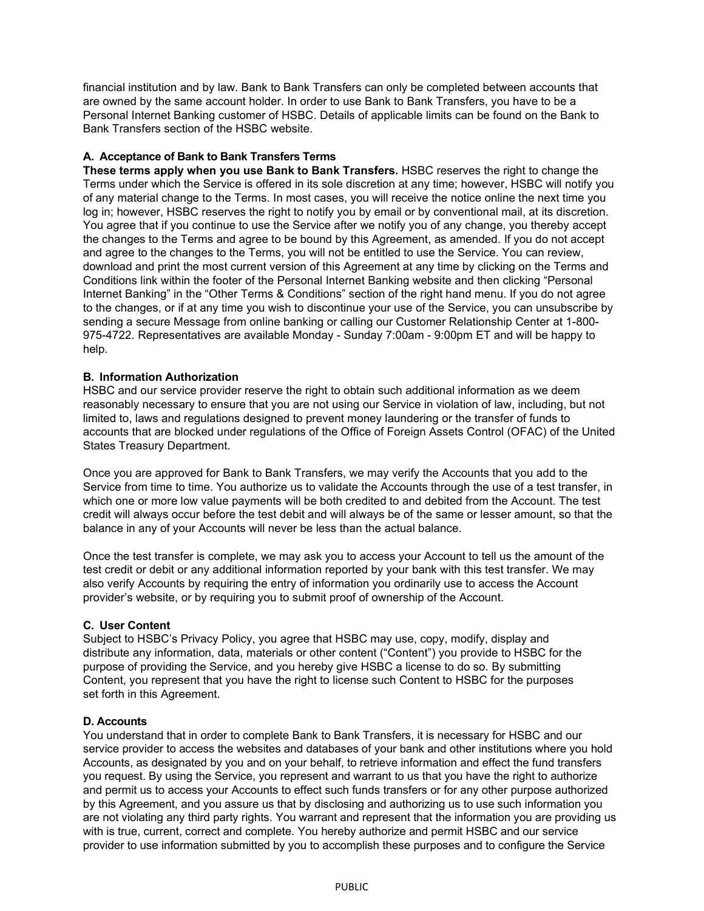financial institution and by law. Bank to Bank Transfers can only be completed between accounts that are owned by the same account holder. In order to use Bank to Bank Transfers, you have to be a Personal Internet Banking customer of HSBC. Details of applicable limits can be found on the Bank to Bank Transfers section of the HSBC website.

#### **A. Acceptance of Bank to Bank Transfers Terms**

**These terms apply when you use Bank to Bank Transfers.** HSBC reserves the right to change the Terms under which the Service is offered in its sole discretion at any time; however, HSBC will notify you of any material change to the Terms. In most cases, you will receive the notice online the next time you log in; however, HSBC reserves the right to notify you by email or by conventional mail, at its discretion. You agree that if you continue to use the Service after we notify you of any change, you thereby accept the changes to the Terms and agree to be bound by this Agreement, as amended. If you do not accept and agree to the changes to the Terms, you will not be entitled to use the Service. You can review, download and print the most current version of this Agreement at any time by clicking on the Terms and Conditions link within the footer of the Personal Internet Banking website and then clicking "Personal Internet Banking" in the "Other Terms & Conditions" section of the right hand menu. If you do not agree to the changes, or if at any time you wish to discontinue your use of the Service, you can unsubscribe by sending a secure Message from online banking or calling our Customer Relationship Center at 1-800- 975-4722. Representatives are available Monday - Sunday 7:00am - 9:00pm ET and will be happy to help.

#### **B. Information Authorization**

HSBC and our service provider reserve the right to obtain such additional information as we deem reasonably necessary to ensure that you are not using our Service in violation of law, including, but not limited to, laws and regulations designed to prevent money laundering or the transfer of funds to accounts that are blocked under regulations of the Office of Foreign Assets Control (OFAC) of the United States Treasury Department.

Once you are approved for Bank to Bank Transfers, we may verify the Accounts that you add to the Service from time to time. You authorize us to validate the Accounts through the use of a test transfer, in which one or more low value payments will be both credited to and debited from the Account. The test credit will always occur before the test debit and will always be of the same or lesser amount, so that the balance in any of your Accounts will never be less than the actual balance.

Once the test transfer is complete, we may ask you to access your Account to tell us the amount of the test credit or debit or any additional information reported by your bank with this test transfer. We may also verify Accounts by requiring the entry of information you ordinarily use to access the Account provider's website, or by requiring you to submit proof of ownership of the Account.

#### **C. User Content**

Subject to HSBC's Privacy Policy, you agree that HSBC may use, copy, modify, display and distribute any information, data, materials or other content ("Content") you provide to HSBC for the purpose of providing the Service, and you hereby give HSBC a license to do so. By submitting Content, you represent that you have the right to license such Content to HSBC for the purposes set forth in this Agreement.

#### **D. Accounts**

You understand that in order to complete Bank to Bank Transfers, it is necessary for HSBC and our service provider to access the websites and databases of your bank and other institutions where you hold Accounts, as designated by you and on your behalf, to retrieve information and effect the fund transfers you request. By using the Service, you represent and warrant to us that you have the right to authorize and permit us to access your Accounts to effect such funds transfers or for any other purpose authorized by this Agreement, and you assure us that by disclosing and authorizing us to use such information you are not violating any third party rights. You warrant and represent that the information you are providing us with is true, current, correct and complete. You hereby authorize and permit HSBC and our service provider to use information submitted by you to accomplish these purposes and to configure the Service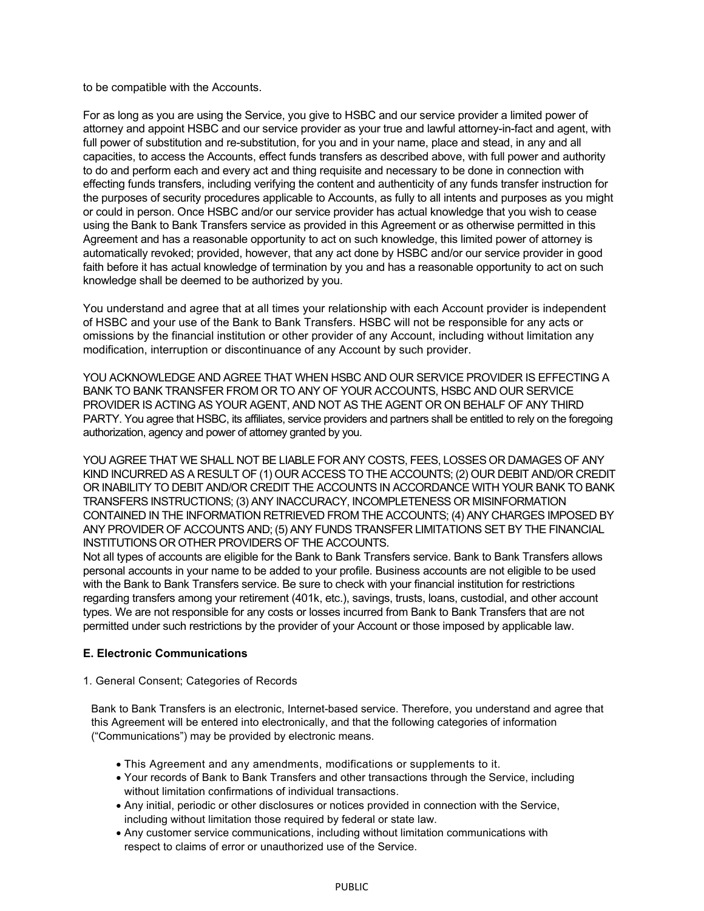to be compatible with the Accounts.

For as long as you are using the Service, you give to HSBC and our service provider a limited power of attorney and appoint HSBC and our service provider as your true and lawful attorney-in-fact and agent, with full power of substitution and re-substitution, for you and in your name, place and stead, in any and all capacities, to access the Accounts, effect funds transfers as described above, with full power and authority to do and perform each and every act and thing requisite and necessary to be done in connection with effecting funds transfers, including verifying the content and authenticity of any funds transfer instruction for the purposes of security procedures applicable to Accounts, as fully to all intents and purposes as you might or could in person. Once HSBC and/or our service provider has actual knowledge that you wish to cease using the Bank to Bank Transfers service as provided in this Agreement or as otherwise permitted in this Agreement and has a reasonable opportunity to act on such knowledge, this limited power of attorney is automatically revoked; provided, however, that any act done by HSBC and/or our service provider in good faith before it has actual knowledge of termination by you and has a reasonable opportunity to act on such knowledge shall be deemed to be authorized by you.

You understand and agree that at all times your relationship with each Account provider is independent of HSBC and your use of the Bank to Bank Transfers. HSBC will not be responsible for any acts or omissions by the financial institution or other provider of any Account, including without limitation any modification, interruption or discontinuance of any Account by such provider.

YOU ACKNOWLEDGE AND AGREE THAT WHEN HSBC AND OUR SERVICE PROVIDER IS EFFECTING A BANK TO BANK TRANSFER FROM OR TO ANY OF YOUR ACCOUNTS, HSBC AND OUR SERVICE PROVIDER IS ACTING AS YOUR AGENT, AND NOT AS THE AGENT OR ON BEHALF OF ANY THIRD PARTY. You agree that HSBC, its affiliates, service providers and partners shall be entitled to rely on the foregoing authorization, agency and power of attorney granted by you.

YOU AGREE THAT WE SHALL NOT BE LIABLE FOR ANY COSTS, FEES, LOSSES OR DAMAGES OF ANY KIND INCURRED AS A RESULT OF (1) OUR ACCESS TO THE ACCOUNTS; (2) OUR DEBIT AND/OR CREDIT OR INABILITY TO DEBIT AND/OR CREDIT THE ACCOUNTS IN ACCORDANCE WITH YOUR BANK TO BANK TRANSFERS INSTRUCTIONS; (3) ANY INACCURACY, INCOMPLETENESS OR MISINFORMATION CONTAINED IN THE INFORMATION RETRIEVED FROM THE ACCOUNTS; (4) ANY CHARGES IMPOSED BY ANY PROVIDER OF ACCOUNTS AND; (5) ANY FUNDS TRANSFER LIMITATIONS SET BY THE FINANCIAL INSTITUTIONS OR OTHER PROVIDERS OF THE ACCOUNTS.

Not all types of accounts are eligible for the Bank to Bank Transfers service. Bank to Bank Transfers allows personal accounts in your name to be added to your profile. Business accounts are not eligible to be used with the Bank to Bank Transfers service. Be sure to check with your financial institution for restrictions regarding transfers among your retirement (401k, etc.), savings, trusts, loans, custodial, and other account types. We are not responsible for any costs or losses incurred from Bank to Bank Transfers that are not permitted under such restrictions by the provider of your Account or those imposed by applicable law.

#### **E. Electronic Communications**

1. General Consent; Categories of Records

Bank to Bank Transfers is an electronic, Internet-based service. Therefore, you understand and agree that this Agreement will be entered into electronically, and that the following categories of information ("Communications") may be provided by electronic means.

- This Agreement and any amendments, modifications or supplements to it.
- Your records of Bank to Bank Transfers and other transactions through the Service, including without limitation confirmations of individual transactions.
- Any initial, periodic or other disclosures or notices provided in connection with the Service, including without limitation those required by federal or state law.
- Any customer service communications, including without limitation communications with respect to claims of error or unauthorized use of the Service.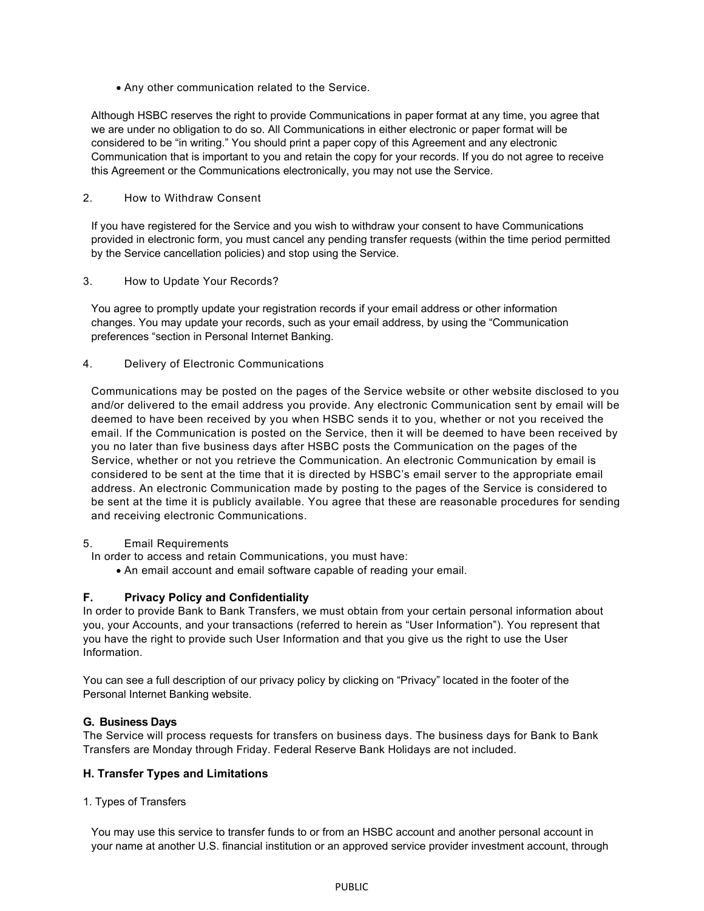• Any other communication related to the Service.

Although HSBC reserves the right to provide Communications in paper format at any time, you agree that we are under no obligation to do so. All Communications in either electronic or paper format will be considered to be "in writing." You should print a paper copy of this Agreement and any electronic Communication that is important to you and retain the copy for your records. If you do not agree to receive this Agreement or the Communications electronically, you may not use the Service.

#### 2. How to Withdraw Consent

If you have registered for the Service and you wish to withdraw your consent to have Communications provided in electronic form, you must cancel any pending transfer requests (within the time period permitted by the Service cancellation policies) and stop using the Service.

3. How to Update Your Records?

You agree to promptly update your registration records if your email address or other information changes. You may update your records, such as your email address, by using the "Communication preferences "section in Personal Internet Banking.

4. Delivery of Electronic Communications

Communications may be posted on the pages of the Service website or other website disclosed to you and/or delivered to the email address you provide. Any electronic Communication sent by email will be deemed to have been received by you when HSBC sends it to you, whether or not you received the email. If the Communication is posted on the Service, then it will be deemed to have been received by you no later than five business days after HSBC posts the Communication on the pages of the Service, whether or not you retrieve the Communication. An electronic Communication by email is considered to be sent at the time that it is directed by HSBC's email server to the appropriate email address. An electronic Communication made by posting to the pages of the Service is considered to be sent at the time it is publicly available. You agree that these are reasonable procedures for sending and receiving electronic Communications.

#### 5. Email Requirements

In order to access and retain Communications, you must have:

• An email account and email software capable of reading your email.

## **F. Privacy Policy and Confidentiality**

In order to provide Bank to Bank Transfers, we must obtain from your certain personal information about you, your Accounts, and your transactions (referred to herein as "User Information"). You represent that you have the right to provide such User Information and that you give us the right to use the User Information.

You can see a full description of our privacy policy by clicking on "Privacy" located in the footer of the Personal Internet Banking website.

## **G. Business Days**

The Service will process requests for transfers on business days. The business days for Bank to Bank Transfers are Monday through Friday. Federal Reserve Bank Holidays are not included.

## **H. Transfer Types and Limitations**

1. Types of Transfers

You may use this service to transfer funds to or from an HSBC account and another personal account in your name at another U.S. financial institution or an approved service provider investment account, through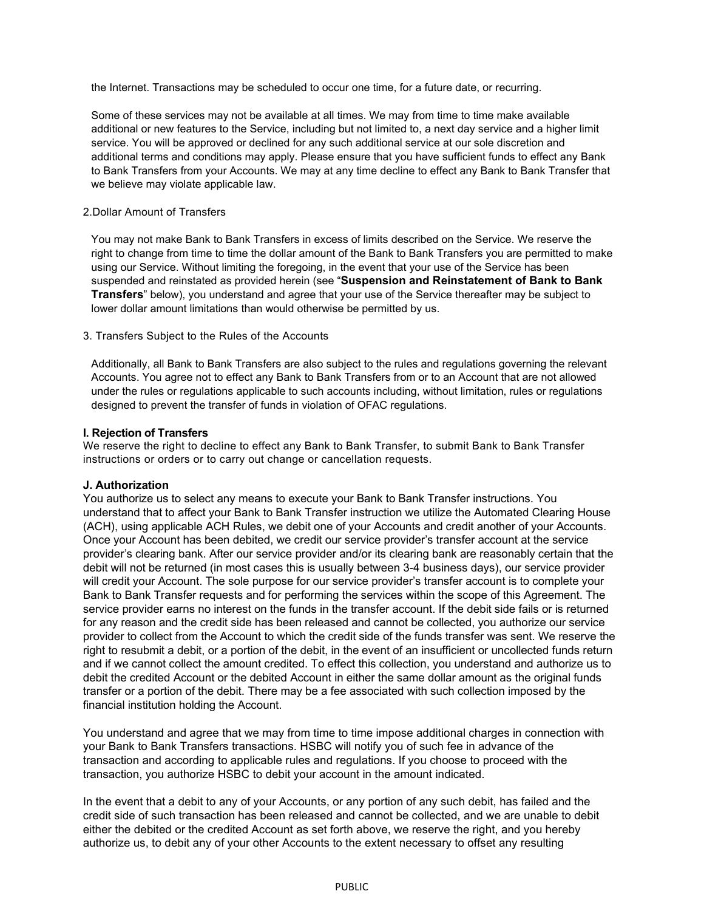the Internet. Transactions may be scheduled to occur one time, for a future date, or recurring.

Some of these services may not be available at all times. We may from time to time make available additional or new features to the Service, including but not limited to, a next day service and a higher limit service. You will be approved or declined for any such additional service at our sole discretion and additional terms and conditions may apply. Please ensure that you have sufficient funds to effect any Bank to Bank Transfers from your Accounts. We may at any time decline to effect any Bank to Bank Transfer that we believe may violate applicable law.

#### 2.Dollar Amount of Transfers

You may not make Bank to Bank Transfers in excess of limits described on the Service. We reserve the right to change from time to time the dollar amount of the Bank to Bank Transfers you are permitted to make using our Service. Without limiting the foregoing, in the event that your use of the Service has been suspended and reinstated as provided herein (see "**Suspension and Reinstatement of Bank to Bank Transfers**" below), you understand and agree that your use of the Service thereafter may be subject to lower dollar amount limitations than would otherwise be permitted by us.

#### 3. Transfers Subject to the Rules of the Accounts

Additionally, all Bank to Bank Transfers are also subject to the rules and regulations governing the relevant Accounts. You agree not to effect any Bank to Bank Transfers from or to an Account that are not allowed under the rules or regulations applicable to such accounts including, without limitation, rules or regulations designed to prevent the transfer of funds in violation of OFAC regulations.

#### **I. Rejection of Transfers**

We reserve the right to decline to effect any Bank to Bank Transfer, to submit Bank to Bank Transfer instructions or orders or to carry out change or cancellation requests.

#### **J. Authorization**

You authorize us to select any means to execute your Bank to Bank Transfer instructions. You understand that to affect your Bank to Bank Transfer instruction we utilize the Automated Clearing House (ACH), using applicable ACH Rules, we debit one of your Accounts and credit another of your Accounts. Once your Account has been debited, we credit our service provider's transfer account at the service provider's clearing bank. After our service provider and/or its clearing bank are reasonably certain that the debit will not be returned (in most cases this is usually between 3-4 business days), our service provider will credit your Account. The sole purpose for our service provider's transfer account is to complete your Bank to Bank Transfer requests and for performing the services within the scope of this Agreement. The service provider earns no interest on the funds in the transfer account. If the debit side fails or is returned for any reason and the credit side has been released and cannot be collected, you authorize our service provider to collect from the Account to which the credit side of the funds transfer was sent. We reserve the right to resubmit a debit, or a portion of the debit, in the event of an insufficient or uncollected funds return and if we cannot collect the amount credited. To effect this collection, you understand and authorize us to debit the credited Account or the debited Account in either the same dollar amount as the original funds transfer or a portion of the debit. There may be a fee associated with such collection imposed by the financial institution holding the Account.

You understand and agree that we may from time to time impose additional charges in connection with your Bank to Bank Transfers transactions. HSBC will notify you of such fee in advance of the transaction and according to applicable rules and regulations. If you choose to proceed with the transaction, you authorize HSBC to debit your account in the amount indicated.

In the event that a debit to any of your Accounts, or any portion of any such debit, has failed and the credit side of such transaction has been released and cannot be collected, and we are unable to debit either the debited or the credited Account as set forth above, we reserve the right, and you hereby authorize us, to debit any of your other Accounts to the extent necessary to offset any resulting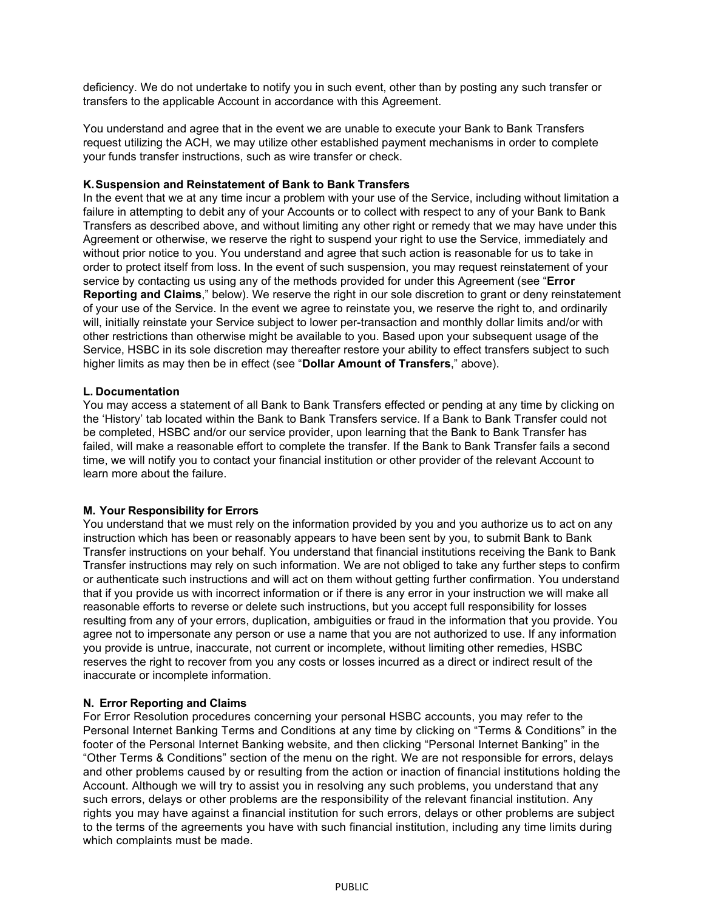deficiency. We do not undertake to notify you in such event, other than by posting any such transfer or transfers to the applicable Account in accordance with this Agreement.

You understand and agree that in the event we are unable to execute your Bank to Bank Transfers request utilizing the ACH, we may utilize other established payment mechanisms in order to complete your funds transfer instructions, such as wire transfer or check.

#### **K.Suspension and Reinstatement of Bank to Bank Transfers**

In the event that we at any time incur a problem with your use of the Service, including without limitation a failure in attempting to debit any of your Accounts or to collect with respect to any of your Bank to Bank Transfers as described above, and without limiting any other right or remedy that we may have under this Agreement or otherwise, we reserve the right to suspend your right to use the Service, immediately and without prior notice to you. You understand and agree that such action is reasonable for us to take in order to protect itself from loss. In the event of such suspension, you may request reinstatement of your service by contacting us using any of the methods provided for under this Agreement (see "**Error Reporting and Claims**," below). We reserve the right in our sole discretion to grant or deny reinstatement of your use of the Service. In the event we agree to reinstate you, we reserve the right to, and ordinarily will, initially reinstate your Service subject to lower per-transaction and monthly dollar limits and/or with other restrictions than otherwise might be available to you. Based upon your subsequent usage of the Service, HSBC in its sole discretion may thereafter restore your ability to effect transfers subject to such higher limits as may then be in effect (see "**Dollar Amount of Transfers**," above).

#### **L. Documentation**

You may access a statement of all Bank to Bank Transfers effected or pending at any time by clicking on the 'History' tab located within the Bank to Bank Transfers service. If a Bank to Bank Transfer could not be completed, HSBC and/or our service provider, upon learning that the Bank to Bank Transfer has failed, will make a reasonable effort to complete the transfer. If the Bank to Bank Transfer fails a second time, we will notify you to contact your financial institution or other provider of the relevant Account to learn more about the failure.

#### **M. Your Responsibility for Errors**

You understand that we must rely on the information provided by you and you authorize us to act on any instruction which has been or reasonably appears to have been sent by you, to submit Bank to Bank Transfer instructions on your behalf. You understand that financial institutions receiving the Bank to Bank Transfer instructions may rely on such information. We are not obliged to take any further steps to confirm or authenticate such instructions and will act on them without getting further confirmation. You understand that if you provide us with incorrect information or if there is any error in your instruction we will make all reasonable efforts to reverse or delete such instructions, but you accept full responsibility for losses resulting from any of your errors, duplication, ambiguities or fraud in the information that you provide. You agree not to impersonate any person or use a name that you are not authorized to use. If any information you provide is untrue, inaccurate, not current or incomplete, without limiting other remedies, HSBC reserves the right to recover from you any costs or losses incurred as a direct or indirect result of the inaccurate or incomplete information.

#### **N. Error Reporting and Claims**

For Error Resolution procedures concerning your personal HSBC accounts, you may refer to the Personal Internet Banking Terms and Conditions at any time by clicking on "Terms & Conditions" in the footer of the Personal Internet Banking website, and then clicking "Personal Internet Banking" in the "Other Terms & Conditions" section of the menu on the right. We are not responsible for errors, delays and other problems caused by or resulting from the action or inaction of financial institutions holding the Account. Although we will try to assist you in resolving any such problems, you understand that any such errors, delays or other problems are the responsibility of the relevant financial institution. Any rights you may have against a financial institution for such errors, delays or other problems are subject to the terms of the agreements you have with such financial institution, including any time limits during which complaints must be made.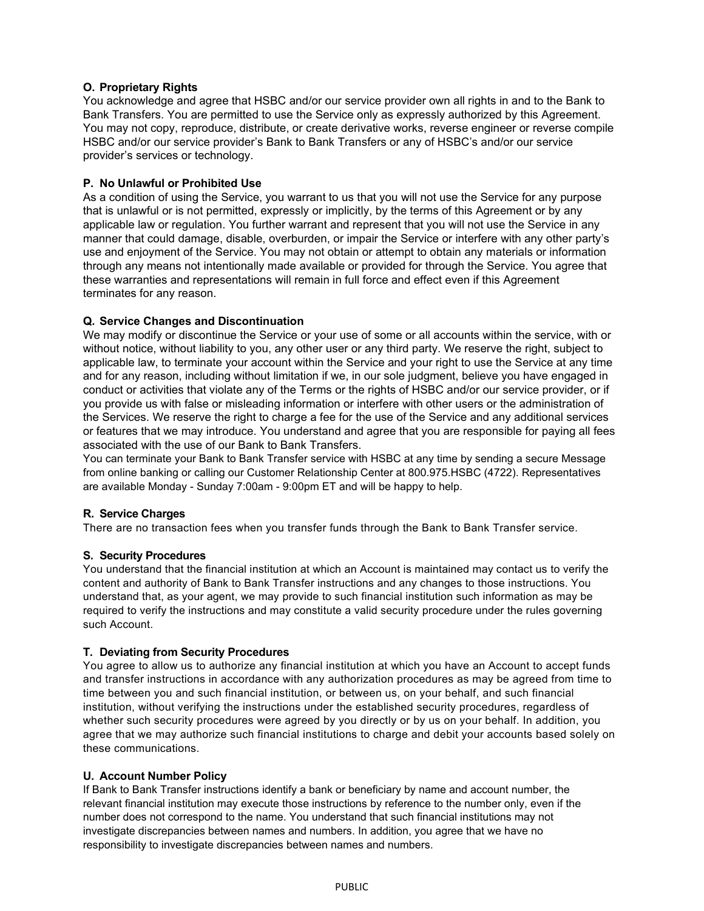#### **O. Proprietary Rights**

You acknowledge and agree that HSBC and/or our service provider own all rights in and to the Bank to Bank Transfers. You are permitted to use the Service only as expressly authorized by this Agreement. You may not copy, reproduce, distribute, or create derivative works, reverse engineer or reverse compile HSBC and/or our service provider's Bank to Bank Transfers or any of HSBC's and/or our service provider's services or technology.

#### **P. No Unlawful or Prohibited Use**

As a condition of using the Service, you warrant to us that you will not use the Service for any purpose that is unlawful or is not permitted, expressly or implicitly, by the terms of this Agreement or by any applicable law or regulation. You further warrant and represent that you will not use the Service in any manner that could damage, disable, overburden, or impair the Service or interfere with any other party's use and enjoyment of the Service. You may not obtain or attempt to obtain any materials or information through any means not intentionally made available or provided for through the Service. You agree that these warranties and representations will remain in full force and effect even if this Agreement terminates for any reason.

#### **Q. Service Changes and Discontinuation**

We may modify or discontinue the Service or your use of some or all accounts within the service, with or without notice, without liability to you, any other user or any third party. We reserve the right, subject to applicable law, to terminate your account within the Service and your right to use the Service at any time and for any reason, including without limitation if we, in our sole judgment, believe you have engaged in conduct or activities that violate any of the Terms or the rights of HSBC and/or our service provider, or if you provide us with false or misleading information or interfere with other users or the administration of the Services. We reserve the right to charge a fee for the use of the Service and any additional services or features that we may introduce. You understand and agree that you are responsible for paying all fees associated with the use of our Bank to Bank Transfers.

You can terminate your Bank to Bank Transfer service with HSBC at any time by sending a secure Message from online banking or calling our Customer Relationship Center at 800.975.HSBC (4722). Representatives are available Monday - Sunday 7:00am - 9:00pm ET and will be happy to help.

#### **R. Service Charges**

There are no transaction fees when you transfer funds through the Bank to Bank Transfer service.

#### **S. Security Procedures**

You understand that the financial institution at which an Account is maintained may contact us to verify the content and authority of Bank to Bank Transfer instructions and any changes to those instructions. You understand that, as your agent, we may provide to such financial institution such information as may be required to verify the instructions and may constitute a valid security procedure under the rules governing such Account.

#### **T. Deviating from Security Procedures**

You agree to allow us to authorize any financial institution at which you have an Account to accept funds and transfer instructions in accordance with any authorization procedures as may be agreed from time to time between you and such financial institution, or between us, on your behalf, and such financial institution, without verifying the instructions under the established security procedures, regardless of whether such security procedures were agreed by you directly or by us on your behalf. In addition, you agree that we may authorize such financial institutions to charge and debit your accounts based solely on these communications.

#### **U. Account Number Policy**

If Bank to Bank Transfer instructions identify a bank or beneficiary by name and account number, the relevant financial institution may execute those instructions by reference to the number only, even if the number does not correspond to the name. You understand that such financial institutions may not investigate discrepancies between names and numbers. In addition, you agree that we have no responsibility to investigate discrepancies between names and numbers.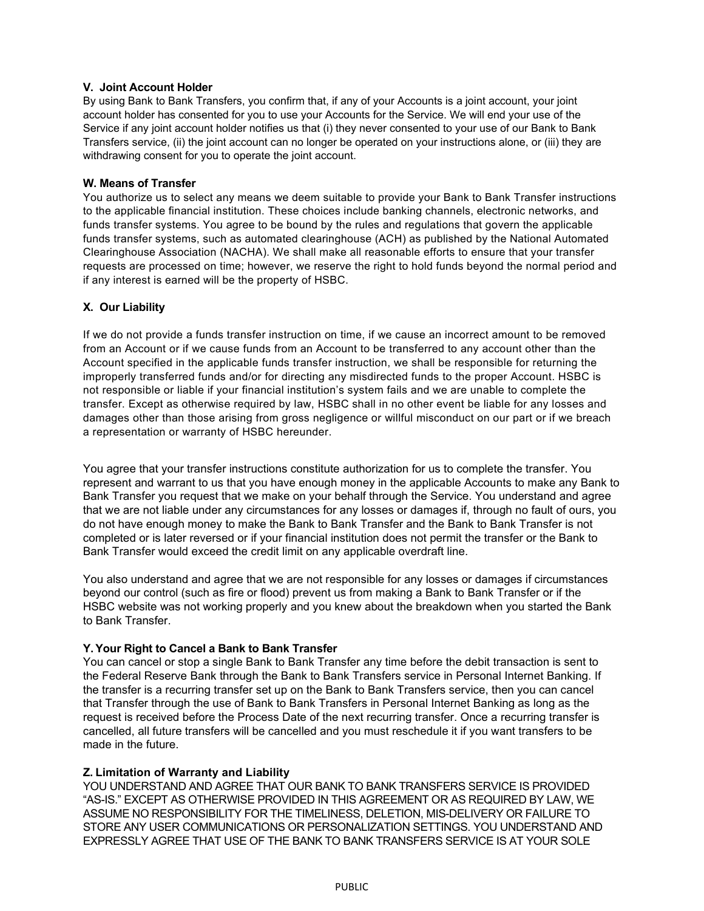#### **V. Joint Account Holder**

By using Bank to Bank Transfers, you confirm that, if any of your Accounts is a joint account, your joint account holder has consented for you to use your Accounts for the Service. We will end your use of the Service if any joint account holder notifies us that (i) they never consented to your use of our Bank to Bank Transfers service, (ii) the joint account can no longer be operated on your instructions alone, or (iii) they are withdrawing consent for you to operate the joint account.

#### **W. Means of Transfer**

You authorize us to select any means we deem suitable to provide your Bank to Bank Transfer instructions to the applicable financial institution. These choices include banking channels, electronic networks, and funds transfer systems. You agree to be bound by the rules and regulations that govern the applicable funds transfer systems, such as automated clearinghouse (ACH) as published by the National Automated Clearinghouse Association (NACHA). We shall make all reasonable efforts to ensure that your transfer requests are processed on time; however, we reserve the right to hold funds beyond the normal period and if any interest is earned will be the property of HSBC.

## **X. Our Liability**

If we do not provide a funds transfer instruction on time, if we cause an incorrect amount to be removed from an Account or if we cause funds from an Account to be transferred to any account other than the Account specified in the applicable funds transfer instruction, we shall be responsible for returning the improperly transferred funds and/or for directing any misdirected funds to the proper Account. HSBC is not responsible or liable if your financial institution's system fails and we are unable to complete the transfer. Except as otherwise required by law, HSBC shall in no other event be liable for any losses and damages other than those arising from gross negligence or willful misconduct on our part or if we breach a representation or warranty of HSBC hereunder.

You agree that your transfer instructions constitute authorization for us to complete the transfer. You represent and warrant to us that you have enough money in the applicable Accounts to make any Bank to Bank Transfer you request that we make on your behalf through the Service. You understand and agree that we are not liable under any circumstances for any losses or damages if, through no fault of ours, you do not have enough money to make the Bank to Bank Transfer and the Bank to Bank Transfer is not completed or is later reversed or if your financial institution does not permit the transfer or the Bank to Bank Transfer would exceed the credit limit on any applicable overdraft line.

You also understand and agree that we are not responsible for any losses or damages if circumstances beyond our control (such as fire or flood) prevent us from making a Bank to Bank Transfer or if the HSBC website was not working properly and you knew about the breakdown when you started the Bank to Bank Transfer.

## **Y.Your Right to Cancel a Bank to Bank Transfer**

You can cancel or stop a single Bank to Bank Transfer any time before the debit transaction is sent to the Federal Reserve Bank through the Bank to Bank Transfers service in Personal Internet Banking. If the transfer is a recurring transfer set up on the Bank to Bank Transfers service, then you can cancel that Transfer through the use of Bank to Bank Transfers in Personal Internet Banking as long as the request is received before the Process Date of the next recurring transfer. Once a recurring transfer is cancelled, all future transfers will be cancelled and you must reschedule it if you want transfers to be made in the future.

#### **Z. Limitation of Warranty and Liability**

YOU UNDERSTAND AND AGREE THAT OUR BANK TO BANK TRANSFERS SERVICE IS PROVIDED "AS-IS." EXCEPT AS OTHERWISE PROVIDED IN THIS AGREEMENT OR AS REQUIRED BY LAW, WE ASSUME NO RESPONSIBILITY FOR THE TIMELINESS, DELETION, MIS-DELIVERY OR FAILURE TO STORE ANY USER COMMUNICATIONS OR PERSONALIZATION SETTINGS. YOU UNDERSTAND AND EXPRESSLY AGREE THAT USE OF THE BANK TO BANK TRANSFERS SERVICE IS AT YOUR SOLE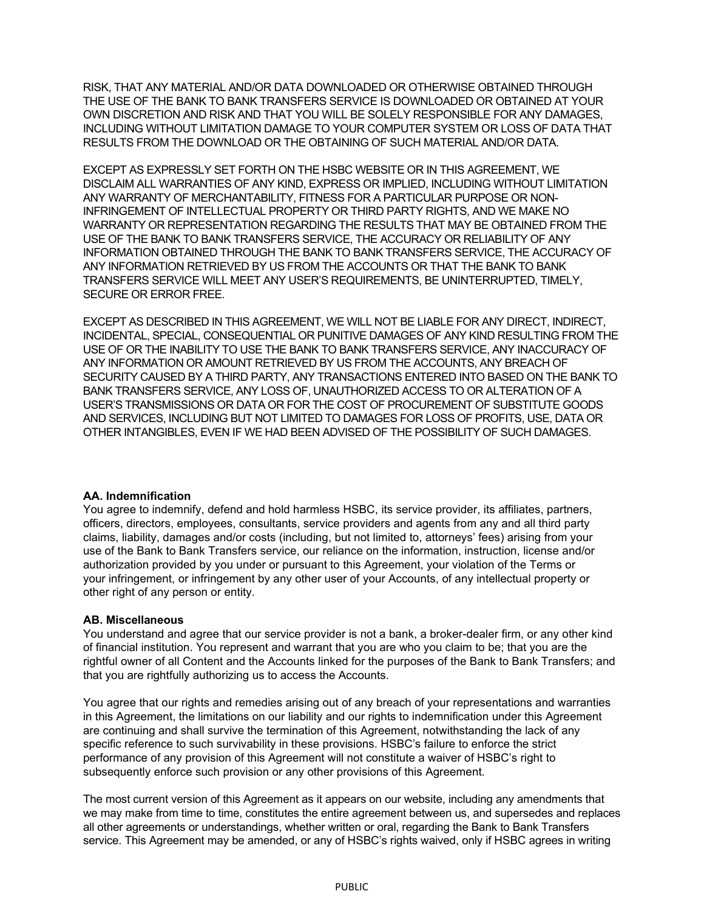RISK, THAT ANY MATERIAL AND/OR DATA DOWNLOADED OR OTHERWISE OBTAINED THROUGH THE USE OF THE BANK TO BANK TRANSFERS SERVICE IS DOWNLOADED OR OBTAINED AT YOUR OWN DISCRETION AND RISK AND THAT YOU WILL BE SOLELY RESPONSIBLE FOR ANY DAMAGES, INCLUDING WITHOUT LIMITATION DAMAGE TO YOUR COMPUTER SYSTEM OR LOSS OF DATA THAT RESULTS FROM THE DOWNLOAD OR THE OBTAINING OF SUCH MATERIAL AND/OR DATA.

EXCEPT AS EXPRESSLY SET FORTH ON THE HSBC WEBSITE OR IN THIS AGREEMENT, WE DISCLAIM ALL WARRANTIES OF ANY KIND, EXPRESS OR IMPLIED, INCLUDING WITHOUT LIMITATION ANY WARRANTY OF MERCHANTABILITY, FITNESS FOR A PARTICULAR PURPOSE OR NON-INFRINGEMENT OF INTELLECTUAL PROPERTY OR THIRD PARTY RIGHTS, AND WE MAKE NO WARRANTY OR REPRESENTATION REGARDING THE RESULTS THAT MAY BE OBTAINED FROM THE USE OF THE BANK TO BANK TRANSFERS SERVICE, THE ACCURACY OR RELIABILITY OF ANY INFORMATION OBTAINED THROUGH THE BANK TO BANK TRANSFERS SERVICE, THE ACCURACY OF ANY INFORMATION RETRIEVED BY US FROM THE ACCOUNTS OR THAT THE BANK TO BANK TRANSFERS SERVICE WILL MEET ANY USER'S REQUIREMENTS, BE UNINTERRUPTED, TIMELY, SECURE OR ERROR FREE.

EXCEPT AS DESCRIBED IN THIS AGREEMENT, WE WILL NOT BE LIABLE FOR ANY DIRECT, INDIRECT, INCIDENTAL, SPECIAL, CONSEQUENTIAL OR PUNITIVE DAMAGES OF ANY KIND RESULTING FROM THE USE OF OR THE INABILITY TO USE THE BANK TO BANK TRANSFERS SERVICE, ANY INACCURACY OF ANY INFORMATION OR AMOUNT RETRIEVED BY US FROM THE ACCOUNTS, ANY BREACH OF SECURITY CAUSED BY A THIRD PARTY, ANY TRANSACTIONS ENTERED INTO BASED ON THE BANK TO BANK TRANSFERS SERVICE, ANY LOSS OF, UNAUTHORIZED ACCESS TO OR ALTERATION OF A USER'S TRANSMISSIONS OR DATA OR FOR THE COST OF PROCUREMENT OF SUBSTITUTE GOODS AND SERVICES, INCLUDING BUT NOT LIMITED TO DAMAGES FOR LOSS OF PROFITS, USE, DATA OR OTHER INTANGIBLES, EVEN IF WE HAD BEEN ADVISED OF THE POSSIBILITY OF SUCH DAMAGES.

#### **AA. Indemnification**

You agree to indemnify, defend and hold harmless HSBC, its service provider, its affiliates, partners, officers, directors, employees, consultants, service providers and agents from any and all third party claims, liability, damages and/or costs (including, but not limited to, attorneys' fees) arising from your use of the Bank to Bank Transfers service, our reliance on the information, instruction, license and/or authorization provided by you under or pursuant to this Agreement, your violation of the Terms or your infringement, or infringement by any other user of your Accounts, of any intellectual property or other right of any person or entity.

## **AB. Miscellaneous**

You understand and agree that our service provider is not a bank, a broker-dealer firm, or any other kind of financial institution. You represent and warrant that you are who you claim to be; that you are the rightful owner of all Content and the Accounts linked for the purposes of the Bank to Bank Transfers; and that you are rightfully authorizing us to access the Accounts.

You agree that our rights and remedies arising out of any breach of your representations and warranties in this Agreement, the limitations on our liability and our rights to indemnification under this Agreement are continuing and shall survive the termination of this Agreement, notwithstanding the lack of any specific reference to such survivability in these provisions. HSBC's failure to enforce the strict performance of any provision of this Agreement will not constitute a waiver of HSBC's right to subsequently enforce such provision or any other provisions of this Agreement.

The most current version of this Agreement as it appears on our website, including any amendments that we may make from time to time, constitutes the entire agreement between us, and supersedes and replaces all other agreements or understandings, whether written or oral, regarding the Bank to Bank Transfers service. This Agreement may be amended, or any of HSBC's rights waived, only if HSBC agrees in writing